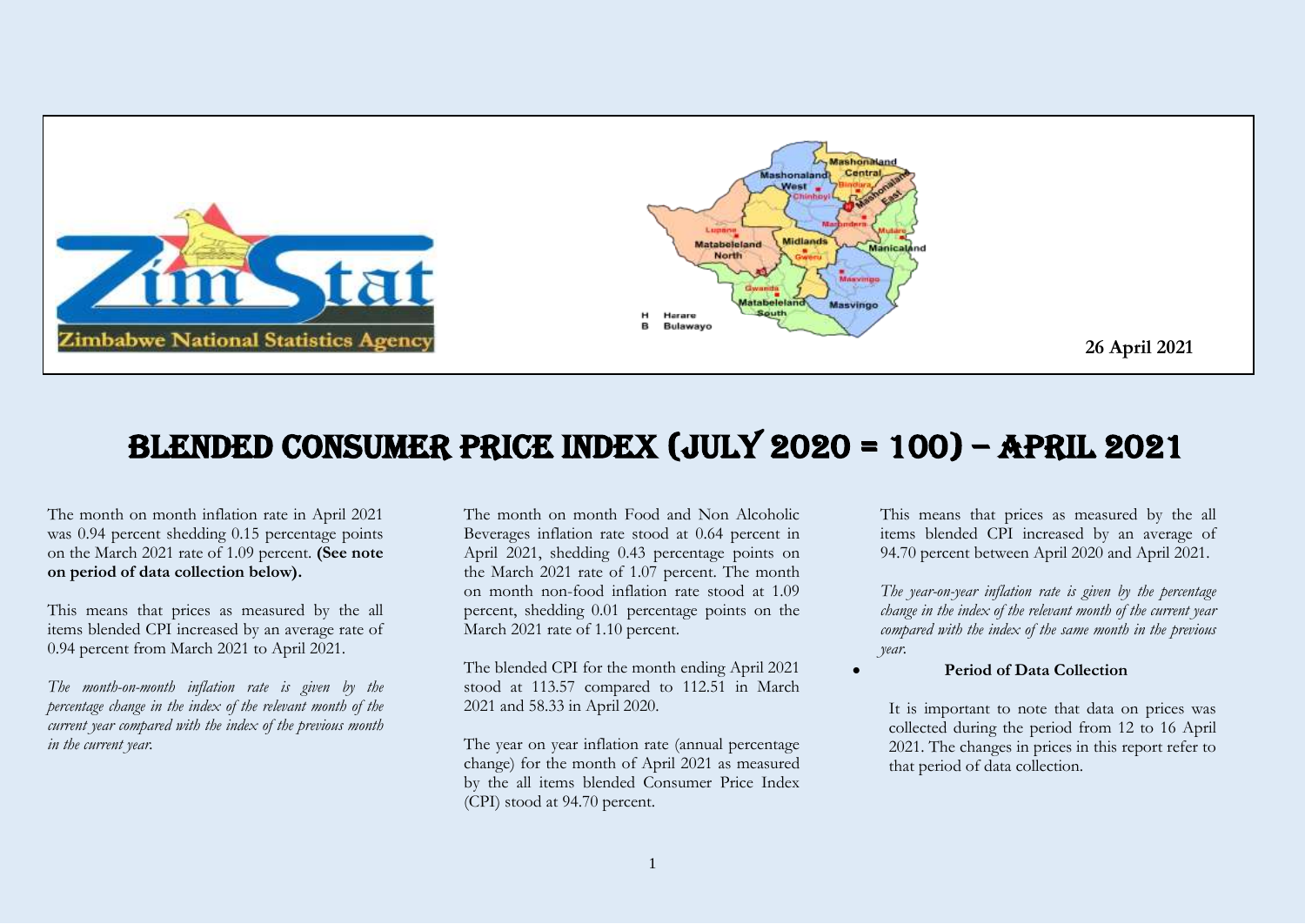

# Blended consumer Price Index (JULY 2020 = 100) – APRIL 2021

The month on month inflation rate in April 2021 was 0.94 percent shedding 0.15 percentage points on the March 2021 rate of 1.09 percent. **(See note on period of data collection below).**

This means that prices as measured by the all items blended CPI increased by an average rate of 0.94 percent from March 2021 to April 2021.

*The month-on-month inflation rate is given by the percentage change in the index of the relevant month of the current year compared with the index of the previous month in the current year.*

The month on month Food and Non Alcoholic Beverages inflation rate stood at 0.64 percent in April 2021, shedding 0.43 percentage points on the March 2021 rate of 1.07 percent. The month on month non-food inflation rate stood at 1.09 percent, shedding 0.01 percentage points on the March 2021 rate of 1.10 percent.

The blended CPI for the month ending April 2021 stood at 113.57 compared to 112.51 in March 2021 and 58.33 in April 2020.

The year on year inflation rate (annual percentage change) for the month of April 2021 as measured by the all items blended Consumer Price Index (CPI) stood at 94.70 percent.

This means that prices as measured by the all items blended CPI increased by an average of 94.70 percent between April 2020 and April 2021.

*The year-on-year inflation rate is given by the percentage change in the index of the relevant month of the current year compared with the index of the same month in the previous year.* 

#### **Period of Data Collection**

It is important to note that data on prices was collected during the period from 12 to 16 April 2021. The changes in prices in this report refer to that period of data collection.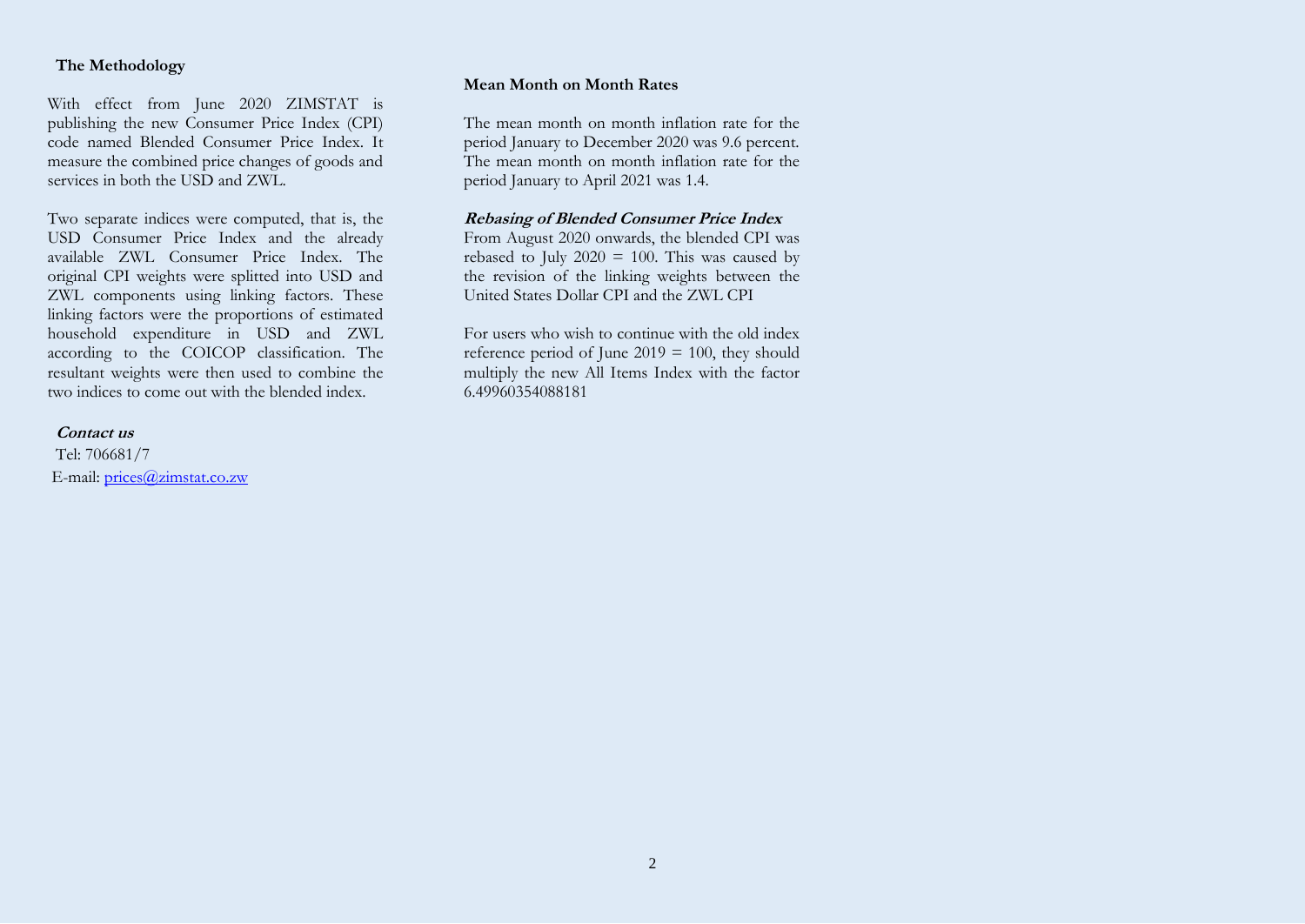### **The Methodology**

With effect from June 2020 ZIMSTAT is publishing the new Consumer Price Index (CPI) code named Blended Consumer Price Index. It measure the combined price changes of goods and services in both the USD and ZWL.

Two separate indices were computed, that is, the USD Consumer Price Index and the already available ZWL Consumer Price Index. The original CPI weights were splitted into USD and ZWL components using linking factors. These linking factors were the proportions of estimated household expenditure in USD and ZWL according to the COICOP classification. The resultant weights were then used to combine the two indices to come out with the blended index.

#### **Contact us**

Tel: 706681/7 E-mail: [prices@zimstat.co.zw](mailto:prices@zimstat.co.zw)

#### **Mean Month on Month Rates**

The mean month on month inflation rate for the period January to December 2020 was 9.6 percent. The mean month on month inflation rate for the period January to April 2021 was 1.4.

### **Rebasing of Blended Consumer Price Index**

From August 2020 onwards, the blended CPI was rebased to July  $2020 = 100$ . This was caused by the revision of the linking weights between the United States Dollar CPI and the ZWL CPI

For users who wish to continue with the old index reference period of June 2019 = 100, they should multiply the new All Items Index with the factor 6.49960354088181